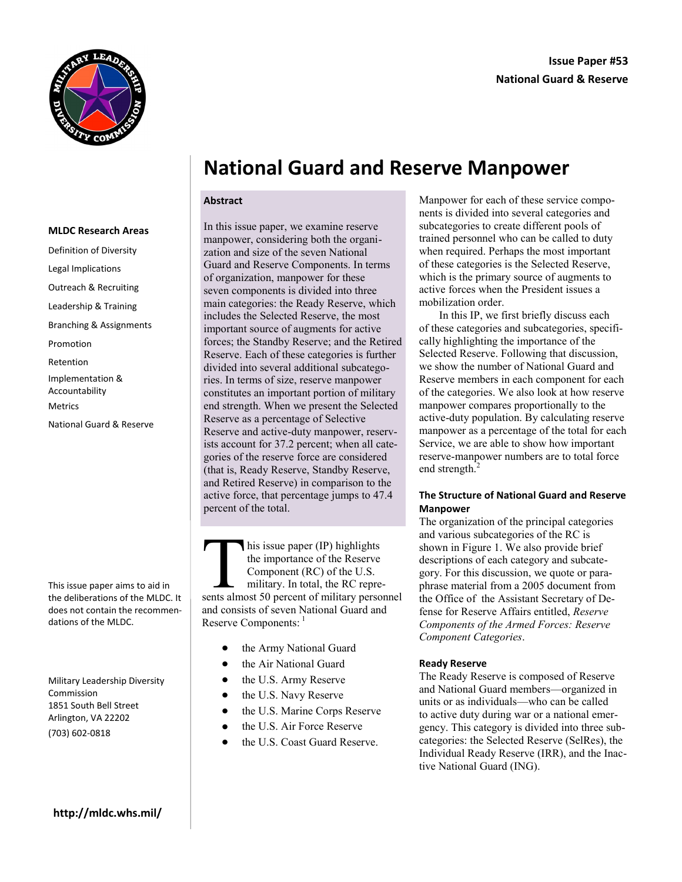

# **National Guard and Reserve Manpower**

#### **Abstract**

**MLDC Research Areas** Definition of Diversity Legal Implications Outreach & Recruiting Leadership & Training Branching & Assignments Promotion Retention Implementation & Accountability Metrics National Guard & Reserve

This issue paper aims to aid in the deliberations of the MLDC. It does not contain the recommendations of the MLDC.

Military Leadership Diversity Commission 1851 South Bell Street Arlington, VA 22202 (703) 602-0818

In this issue paper, we examine reserve manpower, considering both the organization and size of the seven National Guard and Reserve Components. In terms of organization, manpower for these seven components is divided into three main categories: the Ready Reserve, which includes the Selected Reserve, the most important source of augments for active forces; the Standby Reserve; and the Retired Reserve. Each of these categories is further divided into several additional subcategories. In terms of size, reserve manpower constitutes an important portion of military end strength. When we present the Selected Reserve as a percentage of Selective Reserve and active-duty manpower, reservists account for 37.2 percent; when all categories of the reserve force are considered (that is, Ready Reserve, Standby Reserve, and Retired Reserve) in comparison to the active force, that percentage jumps to 47.4 percent of the total.

This issue paper (IP) highlights<br>the importance of the Reserve<br>Component (RC) of the U.S.<br>military. In total, the RC repre-<br>sents almost 50 percent of military personnel his issue paper (IP) highlights the importance of the Reserve Component (RC) of the U.S. military. In total, the RC repreand consists of seven National Guard and Reserve Components: 1

- the Army National Guard  $\bullet$
- the Air National Guard
- the U.S. Army Reserve
- $\bullet$ the U.S. Navy Reserve
- the U.S. Marine Corps Reserve  $\bullet$
- the U.S. Air Force Reserve
- the U.S. Coast Guard Reserve.

Manpower for each of these service components is divided into several categories and subcategories to create different pools of trained personnel who can be called to duty when required. Perhaps the most important of these categories is the Selected Reserve, which is the primary source of augments to active forces when the President issues a mobilization order.

In this IP, we first briefly discuss each of these categories and subcategories, specifically highlighting the importance of the Selected Reserve. Following that discussion, we show the number of National Guard and Reserve members in each component for each of the categories. We also look at how reserve manpower compares proportionally to the active-duty population. By calculating reserve manpower as a percentage of the total for each Service, we are able to show how important reserve-manpower numbers are to total force end strength.<sup>2</sup>

#### **The Structure of National Guard and Reserve Manpower**

The organization of the principal categories and various subcategories of the RC is shown in Figure 1. We also provide brief descriptions of each category and subcategory. For this discussion, we quote or paraphrase material from a 2005 document from the Office of the Assistant Secretary of Defense for Reserve Affairs entitled, *Reserve Components of the Armed Forces: Reserve Component Categories*.

#### **Ready Reserve**

The Ready Reserve is composed of Reserve and National Guard members—organized in units or as individuals—who can be called to active duty during war or a national emergency. This category is divided into three subcategories: the Selected Reserve (SelRes), the Individual Ready Reserve (IRR), and the Inactive National Guard (ING).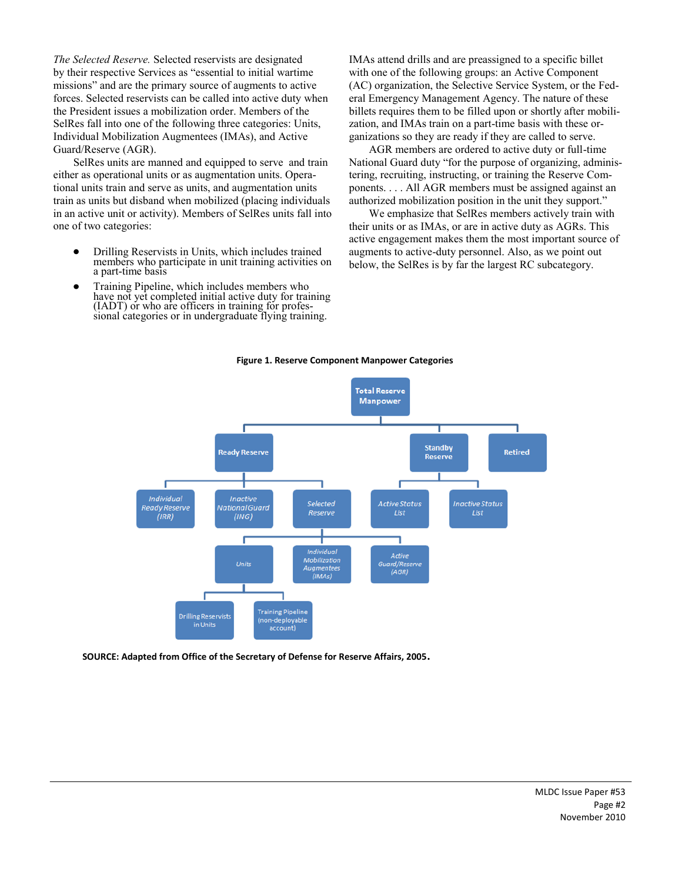*The Selected Reserve.* Selected reservists are designated by their respective Services as "essential to initial wartime missions" and are the primary source of augments to active forces. Selected reservists can be called into active duty when the President issues a mobilization order. Members of the SelRes fall into one of the following three categories: Units, Individual Mobilization Augmentees (IMAs), and Active Guard/Reserve (AGR).

SelRes units are manned and equipped to serve and train either as operational units or as augmentation units. Operational units train and serve as units, and augmentation units train as units but disband when mobilized (placing individuals in an active unit or activity). Members of SelRes units fall into one of two categories:

- Drilling Reservists in Units, which includes trained members who participate in unit training activities on a part-time basis
- Training Pipeline, which includes members who have not yet completed initial active duty for training (IADT) or who are officers in training for professional categories or in undergraduate flying training.

IMAs attend drills and are preassigned to a specific billet with one of the following groups: an Active Component (AC) organization, the Selective Service System, or the Federal Emergency Management Agency. The nature of these billets requires them to be filled upon or shortly after mobilization, and IMAs train on a part-time basis with these organizations so they are ready if they are called to serve.

AGR members are ordered to active duty or full-time National Guard duty "for the purpose of organizing, administering, recruiting, instructing, or training the Reserve Components. . . . All AGR members must be assigned against an authorized mobilization position in the unit they support."

We emphasize that SelRes members actively train with their units or as IMAs, or are in active duty as AGRs. This active engagement makes them the most important source of augments to active-duty personnel. Also, as we point out below, the SelRes is by far the largest RC subcategory.



**Figure 1. Reserve Component Manpower Categories**

**SOURCE: Adapted from Office of the Secretary of Defense for Reserve Affairs, 2005.**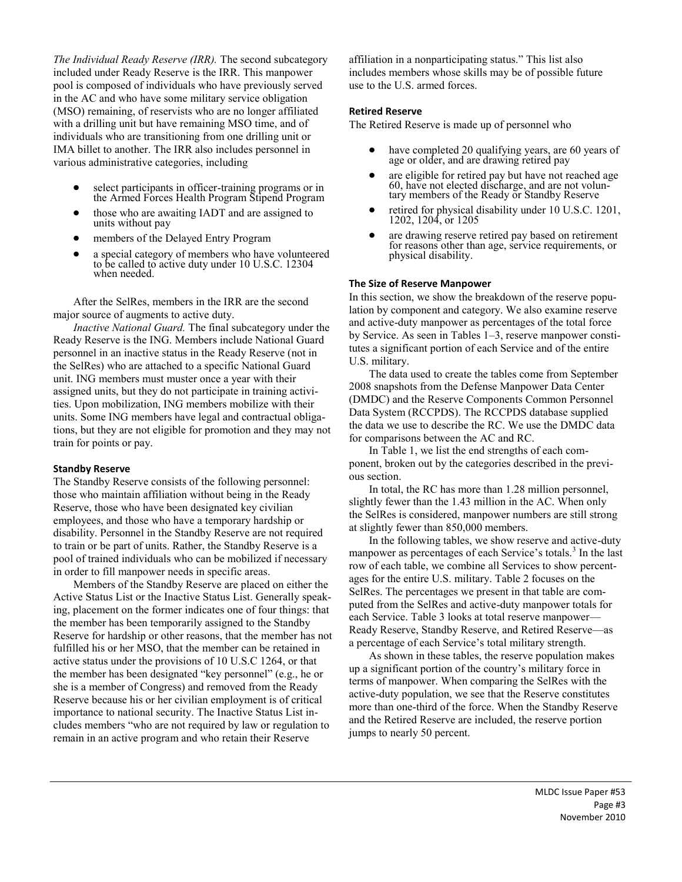*The Individual Ready Reserve (IRR).* The second subcategory included under Ready Reserve is the IRR. This manpower pool is composed of individuals who have previously served in the AC and who have some military service obligation (MSO) remaining, of reservists who are no longer affiliated with a drilling unit but have remaining MSO time, and of individuals who are transitioning from one drilling unit or IMA billet to another. The IRR also includes personnel in various administrative categories, including

- select participants in officer-training programs or in the Armed Forces Health Program Stipend Program
- those who are awaiting IADT and are assigned to units without pay
- members of the Delayed Entry Program
- a special category of members who have volunteered to be called to active duty under 10 U.S.C. 12304 when needed.

After the SelRes, members in the IRR are the second major source of augments to active duty.

*Inactive National Guard.* The final subcategory under the Ready Reserve is the ING. Members include National Guard personnel in an inactive status in the Ready Reserve (not in the SelRes) who are attached to a specific National Guard unit. ING members must muster once a year with their assigned units, but they do not participate in training activities. Upon mobilization, ING members mobilize with their units. Some ING members have legal and contractual obligations, but they are not eligible for promotion and they may not train for points or pay.

#### **Standby Reserve**

The Standby Reserve consists of the following personnel: those who maintain affiliation without being in the Ready Reserve, those who have been designated key civilian employees, and those who have a temporary hardship or disability. Personnel in the Standby Reserve are not required to train or be part of units. Rather, the Standby Reserve is a pool of trained individuals who can be mobilized if necessary in order to fill manpower needs in specific areas.

Members of the Standby Reserve are placed on either the Active Status List or the Inactive Status List. Generally speaking, placement on the former indicates one of four things: that the member has been temporarily assigned to the Standby Reserve for hardship or other reasons, that the member has not fulfilled his or her MSO, that the member can be retained in active status under the provisions of 10 U.S.C 1264, or that the member has been designated "key personnel" (e.g., he or she is a member of Congress) and removed from the Ready Reserve because his or her civilian employment is of critical importance to national security. The Inactive Status List includes members "who are not required by law or regulation to remain in an active program and who retain their Reserve

affiliation in a nonparticipating status." This list also includes members whose skills may be of possible future use to the U.S. armed forces.

#### **Retired Reserve**

The Retired Reserve is made up of personnel who

- have completed 20 qualifying years, are 60 years of age or older, and are drawing retired pay
- are eligible for retired pay but have not reached age 60, have not elected discharge, and are not voluntary members of the Ready or Standby Reserve
- retired for physical disability under 10 U.S.C. 1201, 1202, 1204, or 1205
- are drawing reserve retired pay based on retirement for reasons other than age, service requirements, or physical disability.

#### **The Size of Reserve Manpower**

In this section, we show the breakdown of the reserve population by component and category. We also examine reserve and active-duty manpower as percentages of the total force by Service. As seen in Tables 1–3, reserve manpower constitutes a significant portion of each Service and of the entire U.S. military.

The data used to create the tables come from September 2008 snapshots from the Defense Manpower Data Center (DMDC) and the Reserve Components Common Personnel Data System (RCCPDS). The RCCPDS database supplied the data we use to describe the RC. We use the DMDC data for comparisons between the AC and RC.

In Table 1, we list the end strengths of each component, broken out by the categories described in the previous section.

In total, the RC has more than 1.28 million personnel, slightly fewer than the 1.43 million in the AC. When only the SelRes is considered, manpower numbers are still strong at slightly fewer than 850,000 members.

In the following tables, we show reserve and active-duty manpower as percentages of each Service's totals.<sup>3</sup> In the last row of each table, we combine all Services to show percentages for the entire U.S. military. Table 2 focuses on the SelRes. The percentages we present in that table are computed from the SelRes and active-duty manpower totals for each Service. Table 3 looks at total reserve manpower— Ready Reserve, Standby Reserve, and Retired Reserve—as a percentage of each Service's total military strength.

As shown in these tables, the reserve population makes up a significant portion of the country's military force in terms of manpower. When comparing the SelRes with the active-duty population, we see that the Reserve constitutes more than one-third of the force. When the Standby Reserve and the Retired Reserve are included, the reserve portion jumps to nearly 50 percent.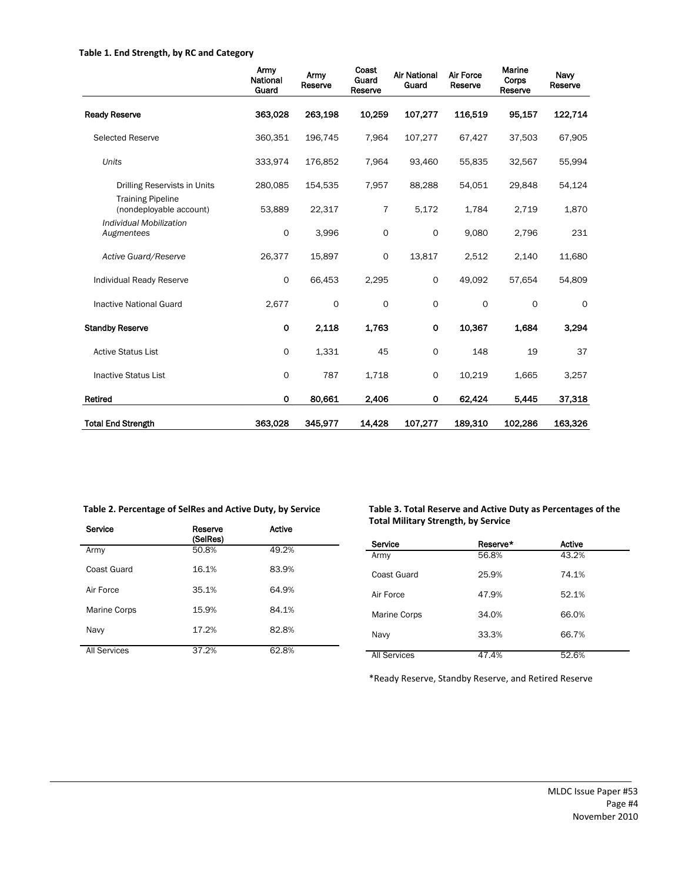#### **Table 1. End Strength, by RC and Category**

|                                                     | Army<br>National<br>Guard | Army<br>Reserve | Coast<br>Guard<br>Reserve | <b>Air National</b><br>Guard | <b>Air Force</b><br>Reserve | Marine<br>Corps<br>Reserve | Naw<br>Reserve |
|-----------------------------------------------------|---------------------------|-----------------|---------------------------|------------------------------|-----------------------------|----------------------------|----------------|
| <b>Ready Reserve</b>                                | 363,028                   | 263.198         | 10,259                    | 107,277                      | 116.519                     | 95,157                     | 122,714        |
| <b>Selected Reserve</b>                             | 360,351                   | 196,745         | 7,964                     | 107,277                      | 67,427                      | 37,503                     | 67,905         |
| Units                                               | 333,974                   | 176,852         | 7,964                     | 93,460                       | 55,835                      | 32,567                     | 55,994         |
| Drilling Reservists in Units                        | 280,085                   | 154,535         | 7,957                     | 88,288                       | 54,051                      | 29,848                     | 54,124         |
| <b>Training Pipeline</b><br>(nondeployable account) | 53,889                    | 22,317          | $\overline{7}$            | 5,172                        | 1,784                       | 2,719                      | 1,870          |
| Individual Mobilization<br>Augmentees               | 0                         | 3,996           | $\mathbf 0$               | $\mathsf{o}$                 | 9,080                       | 2,796                      | 231            |
| Active Guard/Reserve                                | 26,377                    | 15,897          | $\mathbf 0$               | 13,817                       | 2,512                       | 2,140                      | 11,680         |
| Individual Ready Reserve                            | 0                         | 66,453          | 2,295                     | 0                            | 49,092                      | 57,654                     | 54,809         |
| <b>Inactive National Guard</b>                      | 2,677                     | 0               | $\circ$                   | $\mathsf{o}$                 | 0                           | $\mathbf 0$                | $\Omega$       |
| <b>Standby Reserve</b>                              | 0                         | 2,118           | 1,763                     | $\mathbf 0$                  | 10,367                      | 1,684                      | 3,294          |
| <b>Active Status List</b>                           | 0                         | 1,331           | 45                        | 0                            | 148                         | 19                         | 37             |
| <b>Inactive Status List</b>                         | 0                         | 787             | 1,718                     | 0                            | 10,219                      | 1,665                      | 3,257          |
| Retired                                             | 0                         | 80,661          | 2.406                     | 0                            | 62,424                      | 5,445                      | 37,318         |
| <b>Total End Strength</b>                           | 363,028                   | 345,977         | 14,428                    | 107,277                      | 189,310                     | 102,286                    | 163,326        |

| Service             | Reserve<br>(SelRes) | <b>Active</b> |
|---------------------|---------------------|---------------|
| Army                | 50.8%               | 49.2%         |
| Coast Guard         | 16.1%               | 83.9%         |
| Air Force           | 35.1%               | 64.9%         |
| Marine Corps        | 15.9%               | 84.1%         |
| Navy                | 17.2%               | 82.8%         |
| <b>All Services</b> | 37.2%               | 62.8%         |

**Table 2. Percentage of SelRes and Active Duty, by Service Table 3. Total Reserve and Active Duty as Percentages of the Total Military Strength, by Service**

| Service             | Reserve* | <b>Active</b> |
|---------------------|----------|---------------|
| Army                | 56.8%    | 43.2%         |
| Coast Guard         | 25.9%    | 74.1%         |
| Air Force           | 47.9%    | 52.1%         |
| Marine Corps        | 34.0%    | 66.0%         |
| Navy                | 33.3%    | 66.7%         |
| <b>All Services</b> | 47.4%    | 52.6%         |

\*Ready Reserve, Standby Reserve, and Retired Reserve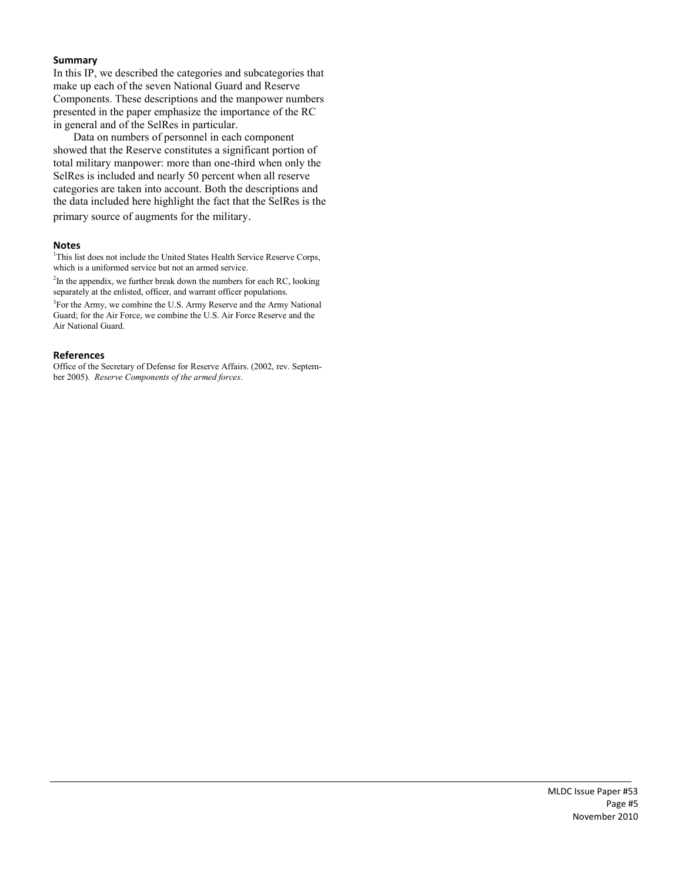#### **Summary**

In this IP, we described the categories and subcategories that make up each of the seven National Guard and Reserve Components. These descriptions and the manpower numbers presented in the paper emphasize the importance of the RC in general and of the SelRes in particular.

Data on numbers of personnel in each component showed that the Reserve constitutes a significant portion of total military manpower: more than one-third when only the SelRes is included and nearly 50 percent when all reserve categories are taken into account. Both the descriptions and the data included here highlight the fact that the SelRes is the primary source of augments for the military.

#### **Notes**

<sup>1</sup>This list does not include the United States Health Service Reserve Corps, which is a uniformed service but not an armed service.

 $2$ In the appendix, we further break down the numbers for each RC, looking separately at the enlisted, officer, and warrant officer populations.

<sup>3</sup>For the Army, we combine the U.S. Army Reserve and the Army National Guard; for the Air Force, we combine the U.S. Air Force Reserve and the Air National Guard.

#### **References**

Office of the Secretary of Defense for Reserve Affairs. (2002, rev. September 2005). *Reserve Components of the armed forces*.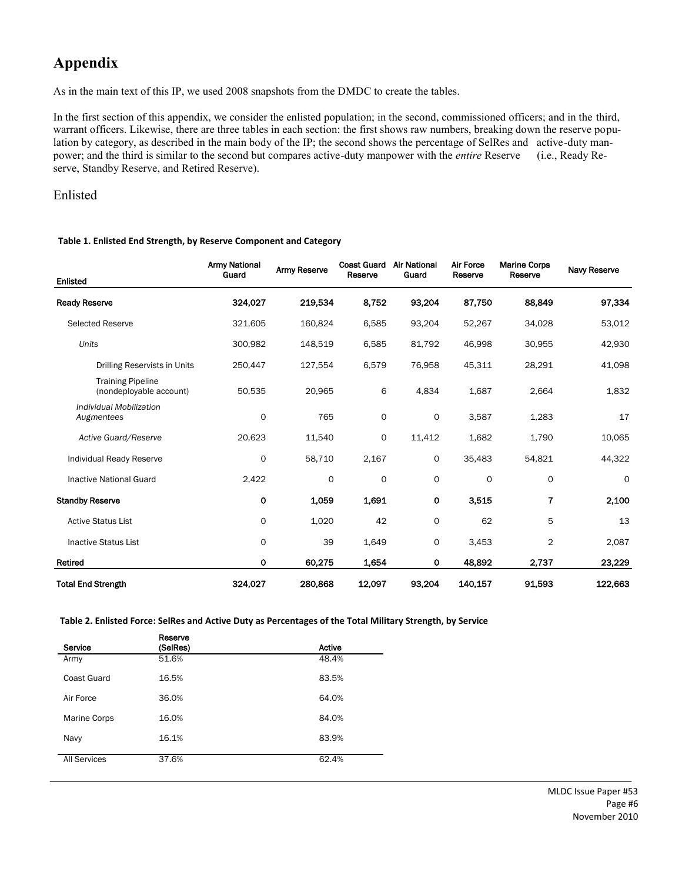# **Appendix**

As in the main text of this IP, we used 2008 snapshots from the DMDC to create the tables.

In the first section of this appendix, we consider the enlisted population; in the second, commissioned officers; and in the third, warrant officers. Likewise, there are three tables in each section: the first shows raw numbers, breaking down the reserve population by category, as described in the main body of the IP; the second shows the percentage of SelRes and active-duty manpower; and the third is similar to the second but compares active-duty manpower with the *entire* Reserve (i.e., Ready Reserve, Standby Reserve, and Retired Reserve).

### Enlisted

#### **Table 1. Enlisted End Strength, by Reserve Component and Category**

| <b>Enlisted</b>                                     | <b>Army National</b><br>Guard | <b>Army Reserve</b> | <b>Coast Guard</b><br>Reserve | <b>Air National</b><br>Guard | <b>Air Force</b><br>Reserve | <b>Marine Corps</b><br>Reserve | <b>Navy Reserve</b> |
|-----------------------------------------------------|-------------------------------|---------------------|-------------------------------|------------------------------|-----------------------------|--------------------------------|---------------------|
| <b>Ready Reserve</b>                                | 324,027                       | 219,534             | 8,752                         | 93,204                       | 87,750                      | 88,849                         | 97,334              |
| <b>Selected Reserve</b>                             | 321,605                       | 160,824             | 6,585                         | 93,204                       | 52,267                      | 34,028                         | 53,012              |
| Units                                               | 300,982                       | 148,519             | 6,585                         | 81,792                       | 46,998                      | 30,955                         | 42,930              |
| Drilling Reservists in Units                        | 250,447                       | 127,554             | 6,579                         | 76,958                       | 45,311                      | 28,291                         | 41,098              |
| <b>Training Pipeline</b><br>(nondeployable account) | 50,535                        | 20,965              | 6                             | 4,834                        | 1,687                       | 2,664                          | 1,832               |
| Individual Mobilization<br>Augmentees               | 0                             | 765                 | $\mathbf 0$                   | $\mathsf{o}$                 | 3,587                       | 1,283                          | 17                  |
| Active Guard/Reserve                                | 20,623                        | 11,540              | $\mathbf 0$                   | 11,412                       | 1,682                       | 1,790                          | 10,065              |
| Individual Ready Reserve                            | 0                             | 58,710              | 2,167                         | 0                            | 35,483                      | 54,821                         | 44,322              |
| <b>Inactive National Guard</b>                      | 2,422                         | 0                   | 0                             | 0                            | 0                           | 0                              | $\circ$             |
| <b>Standby Reserve</b>                              | 0                             | 1.059               | 1,691                         | 0                            | 3,515                       | 7                              | 2,100               |
| <b>Active Status List</b>                           | 0                             | 1,020               | 42                            | 0                            | 62                          | 5                              | 13                  |
| <b>Inactive Status List</b>                         | 0                             | 39                  | 1,649                         | 0                            | 3,453                       | 2                              | 2,087               |
| Retired                                             | 0                             | 60,275              | 1.654                         | 0                            | 48,892                      | 2,737                          | 23,229              |
| <b>Total End Strength</b>                           | 324,027                       | 280,868             | 12,097                        | 93,204                       | 140,157                     | 91,593                         | 122,663             |

**Table 2. Enlisted Force: SelRes and Active Duty as Percentages of the Total Military Strength, by Service**

| Service             | Reserve<br>(SelRes) | Active |
|---------------------|---------------------|--------|
| Army                | 51.6%               | 48.4%  |
| Coast Guard         | 16.5%               | 83.5%  |
| Air Force           | 36.0%               | 64.0%  |
| Marine Corps        | 16.0%               | 84.0%  |
| Navy                | 16.1%               | 83.9%  |
| <b>All Services</b> | 37.6%               | 62.4%  |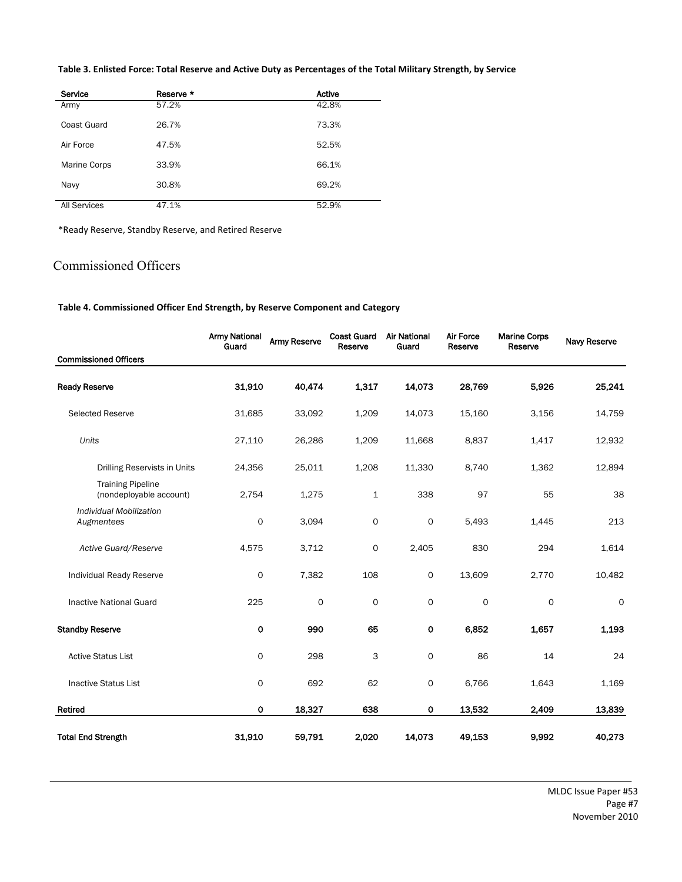**Table 3. Enlisted Force: Total Reserve and Active Duty as Percentages of the Total Military Strength, by Service**

| Service             | Reserve * | <b>Active</b> |
|---------------------|-----------|---------------|
| Army                | 57.2%     | 42.8%         |
| Coast Guard         | 26.7%     | 73.3%         |
| Air Force           | 47.5%     | 52.5%         |
| Marine Corps        | 33.9%     | 66.1%         |
| Navy                | 30.8%     | 69.2%         |
| <b>All Services</b> | 47.1%     | 52.9%         |

\*Ready Reserve, Standby Reserve, and Retired Reserve

## Commissioned Officers

**Table 4. Commissioned Officer End Strength, by Reserve Component and Category**

|                                                     | <b>Army National</b><br>Guard | <b>Army Reserve</b> | <b>Coast Guard</b><br>Reserve | <b>Air National</b><br>Guard | Air Force<br>Reserve | <b>Marine Corps</b><br>Reserve | <b>Navy Reserve</b> |
|-----------------------------------------------------|-------------------------------|---------------------|-------------------------------|------------------------------|----------------------|--------------------------------|---------------------|
| <b>Commissioned Officers</b>                        |                               |                     |                               |                              |                      |                                |                     |
| <b>Ready Reserve</b>                                | 31,910                        | 40,474              | 1,317                         | 14,073                       | 28,769               | 5,926                          | 25,241              |
| <b>Selected Reserve</b>                             | 31,685                        | 33,092              | 1,209                         | 14,073                       | 15,160               | 3,156                          | 14,759              |
| Units                                               | 27,110                        | 26,286              | 1,209                         | 11,668                       | 8,837                | 1,417                          | 12,932              |
| Drilling Reservists in Units                        | 24,356                        | 25,011              | 1,208                         | 11,330                       | 8,740                | 1,362                          | 12,894              |
| <b>Training Pipeline</b><br>(nondeployable account) | 2,754                         | 1,275               | $\mathbf{1}$                  | 338                          | 97                   | 55                             | 38                  |
| Individual Mobilization<br>Augmentees               | 0                             | 3,094               | $\mathsf O$                   | 0                            | 5,493                | 1,445                          | 213                 |
| Active Guard/Reserve                                | 4,575                         | 3,712               | 0                             | 2,405                        | 830                  | 294                            | 1,614               |
| Individual Ready Reserve                            | 0                             | 7,382               | 108                           | 0                            | 13,609               | 2,770                          | 10,482              |
| <b>Inactive National Guard</b>                      | 225                           | 0                   | $\circ$                       | 0                            | 0                    | $\mathbf 0$                    | 0                   |
| <b>Standby Reserve</b>                              | 0                             | 990                 | 65                            | $\mathbf 0$                  | 6,852                | 1,657                          | 1,193               |
| <b>Active Status List</b>                           | 0                             | 298                 | 3                             | $\mathsf{o}$                 | 86                   | 14                             | 24                  |
| <b>Inactive Status List</b>                         | 0                             | 692                 | 62                            | 0                            | 6,766                | 1,643                          | 1,169               |
| Retired                                             | $\mathbf 0$                   | 18,327              | 638                           | $\mathbf 0$                  | 13,532               | 2,409                          | 13,839              |
| <b>Total End Strength</b>                           | 31,910                        | 59,791              | 2,020                         | 14,073                       | 49,153               | 9,992                          | 40,273              |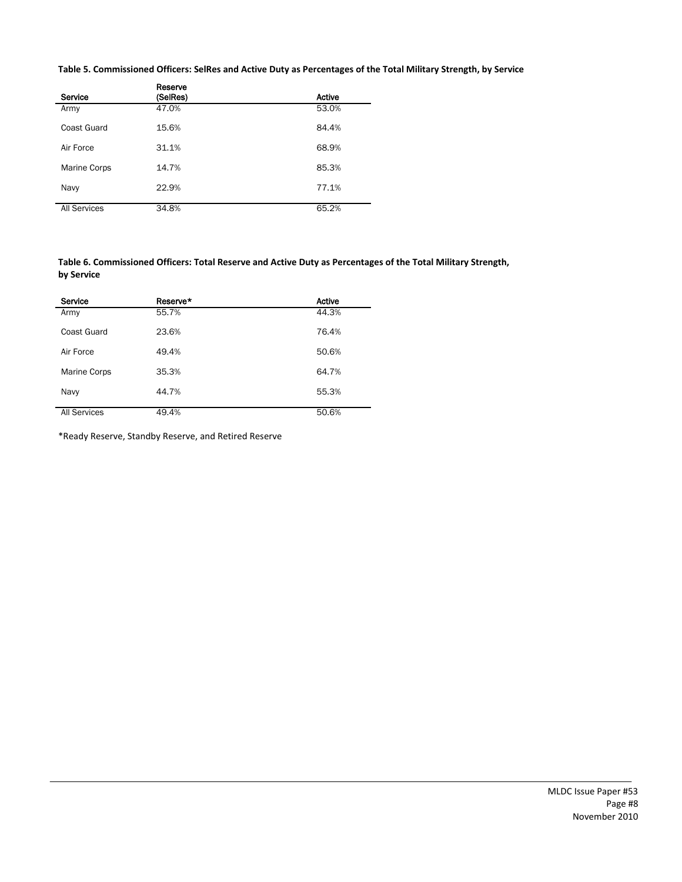**Table 5. Commissioned Officers: SelRes and Active Duty as Percentages of the Total Military Strength, by Service**

| Service             | Reserve<br>(SelRes) | Active |
|---------------------|---------------------|--------|
| Army                | 47.0%               | 53.0%  |
| Coast Guard         | 15.6%               | 84.4%  |
| Air Force           | 31.1%               | 68.9%  |
| Marine Corps        | 14.7%               | 85.3%  |
| Navy                | 22.9%               | 77.1%  |
| <b>All Services</b> | 34.8%               | 65.2%  |

**Table 6. Commissioned Officers: Total Reserve and Active Duty as Percentages of the Total Military Strength, by Service**

| Service             | Reserve* | Active |
|---------------------|----------|--------|
| Army                | 55.7%    | 44.3%  |
| Coast Guard         | 23.6%    | 76.4%  |
| Air Force           | 49.4%    | 50.6%  |
| Marine Corps        | 35.3%    | 64.7%  |
| Navy                | 44.7%    | 55.3%  |
| <b>All Services</b> | 49.4%    | 50.6%  |

\*Ready Reserve, Standby Reserve, and Retired Reserve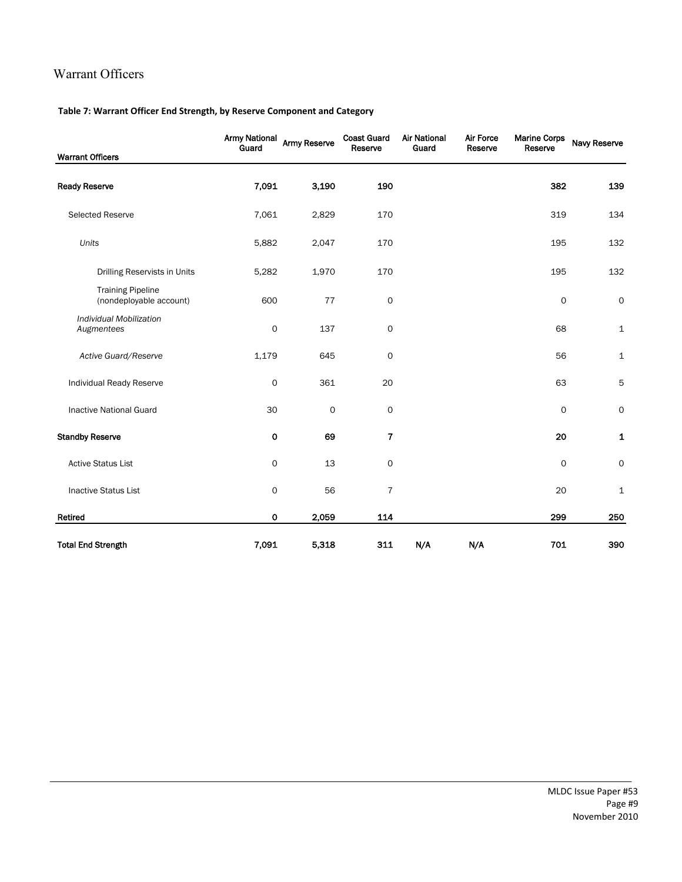# Warrant Officers

#### **Table 7: Warrant Officer End Strength, by Reserve Component and Category**

| <b>Warrant Officers</b>                             | <b>Army National</b><br>Guard | <b>Army Reserve</b> | <b>Coast Guard</b><br>Reserve | <b>Air National</b><br>Guard | <b>Air Force</b><br>Reserve | <b>Marine Corps</b><br>Reserve | Navy Reserve        |
|-----------------------------------------------------|-------------------------------|---------------------|-------------------------------|------------------------------|-----------------------------|--------------------------------|---------------------|
| <b>Ready Reserve</b>                                | 7,091                         | 3,190               | 190                           |                              |                             | 382                            | 139                 |
| Selected Reserve                                    | 7,061                         | 2,829               | 170                           |                              |                             | 319                            | 134                 |
| Units                                               | 5,882                         | 2,047               | 170                           |                              |                             | 195                            | 132                 |
| Drilling Reservists in Units                        | 5,282                         | 1,970               | 170                           |                              |                             | 195                            | 132                 |
| <b>Training Pipeline</b><br>(nondeployable account) | 600                           | $77 \,$             | 0                             |                              |                             | 0                              | $\mathsf{O}\xspace$ |
| Individual Mobilization<br>Augmentees               | 0                             | 137                 | 0                             |                              |                             | 68                             | $\mathbf 1$         |
| Active Guard/Reserve                                | 1,179                         | 645                 | $\mathbf 0$                   |                              |                             | 56                             | $\mathbf{1}$        |
| Individual Ready Reserve                            | 0                             | 361                 | 20                            |                              |                             | 63                             | 5                   |
| <b>Inactive National Guard</b>                      | 30                            | $\mathsf{O}\xspace$ | 0                             |                              |                             | 0                              | 0                   |
| <b>Standby Reserve</b>                              | 0                             | 69                  | 7                             |                              |                             | 20                             | 1                   |
| <b>Active Status List</b>                           | 0                             | 13                  | 0                             |                              |                             | 0                              | 0                   |
| <b>Inactive Status List</b>                         | 0                             | 56                  | $\overline{7}$                |                              |                             | 20                             | 1                   |
| Retired                                             | 0                             | 2,059               | 114                           |                              |                             | 299                            | 250                 |
| <b>Total End Strength</b>                           | 7,091                         | 5,318               | 311                           | N/A                          | N/A                         | 701                            | 390                 |